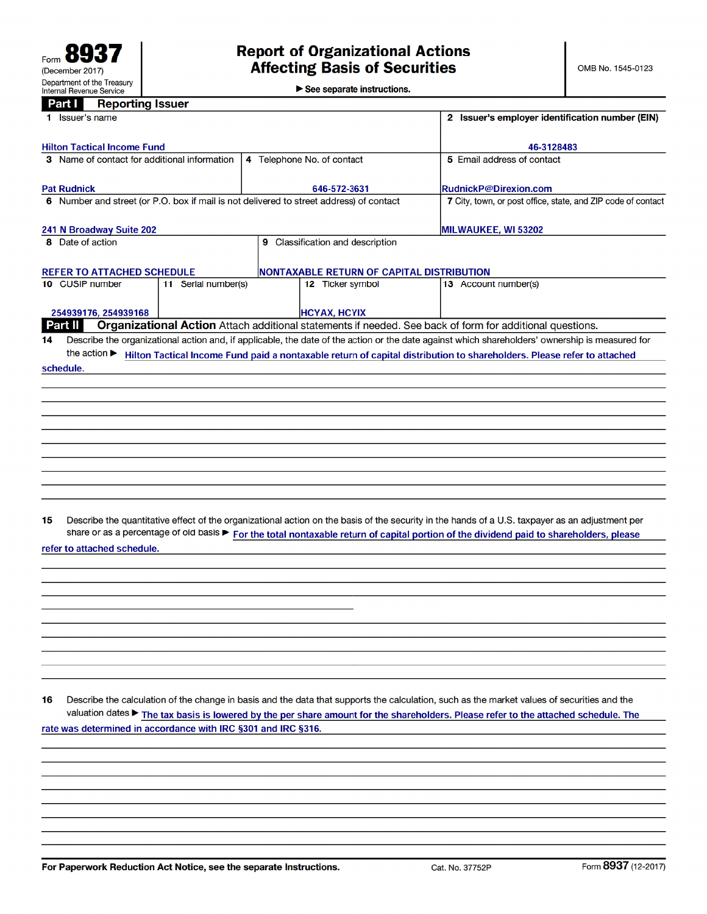$\blacktriangleright$  See separate instructions.

| Part I<br><b>Reporting Issuer</b>                             |                     |                                                                                         |                                                                                                                                                                                                                                                                                            |  |  |
|---------------------------------------------------------------|---------------------|-----------------------------------------------------------------------------------------|--------------------------------------------------------------------------------------------------------------------------------------------------------------------------------------------------------------------------------------------------------------------------------------------|--|--|
| 1 Issuer's name                                               |                     | 2 Issuer's employer identification number (EIN)                                         |                                                                                                                                                                                                                                                                                            |  |  |
| <b>Hilton Tactical Income Fund</b>                            |                     |                                                                                         | 46-3128483                                                                                                                                                                                                                                                                                 |  |  |
| 3 Name of contact for additional information                  |                     | 5 Email address of contact                                                              |                                                                                                                                                                                                                                                                                            |  |  |
|                                                               |                     |                                                                                         |                                                                                                                                                                                                                                                                                            |  |  |
| <b>Pat Rudnick</b>                                            |                     | 646-572-3631                                                                            | <b>RudnickP@Direxion.com</b>                                                                                                                                                                                                                                                               |  |  |
|                                                               |                     | 6 Number and street (or P.O. box if mail is not delivered to street address) of contact | 7 City, town, or post office, state, and ZIP code of contact                                                                                                                                                                                                                               |  |  |
| 241 N Broadway Suite 202                                      |                     |                                                                                         | MILWAUKEE, WI 53202                                                                                                                                                                                                                                                                        |  |  |
| 8 Date of action                                              |                     | 9 Classification and description                                                        |                                                                                                                                                                                                                                                                                            |  |  |
| <b>REFER TO ATTACHED SCHEDULE</b>                             |                     | NONTAXABLE RETURN OF CAPITAL DISTRIBUTION                                               |                                                                                                                                                                                                                                                                                            |  |  |
| 10 CUSIP number                                               | 11 Serial number(s) | 12 Ticker symbol                                                                        | 13 Account number(s)                                                                                                                                                                                                                                                                       |  |  |
| 254939176, 254939168                                          |                     | <b>HCYAX, HCYIX</b>                                                                     |                                                                                                                                                                                                                                                                                            |  |  |
| Part II                                                       |                     |                                                                                         | Organizational Action Attach additional statements if needed. See back of form for additional questions.                                                                                                                                                                                   |  |  |
| 14<br>the action $\blacktriangleright$                        |                     |                                                                                         | Describe the organizational action and, if applicable, the date of the action or the date against which shareholders' ownership is measured for                                                                                                                                            |  |  |
| schedule.                                                     |                     |                                                                                         | Hilton Tactical Income Fund paid a nontaxable return of capital distribution to shareholders. Please refer to attached                                                                                                                                                                     |  |  |
|                                                               |                     |                                                                                         |                                                                                                                                                                                                                                                                                            |  |  |
|                                                               |                     |                                                                                         |                                                                                                                                                                                                                                                                                            |  |  |
|                                                               |                     |                                                                                         |                                                                                                                                                                                                                                                                                            |  |  |
|                                                               |                     |                                                                                         |                                                                                                                                                                                                                                                                                            |  |  |
|                                                               |                     |                                                                                         |                                                                                                                                                                                                                                                                                            |  |  |
|                                                               |                     |                                                                                         |                                                                                                                                                                                                                                                                                            |  |  |
|                                                               |                     |                                                                                         |                                                                                                                                                                                                                                                                                            |  |  |
|                                                               |                     |                                                                                         |                                                                                                                                                                                                                                                                                            |  |  |
|                                                               |                     |                                                                                         |                                                                                                                                                                                                                                                                                            |  |  |
| 15                                                            |                     |                                                                                         | Describe the quantitative effect of the organizational action on the basis of the security in the hands of a U.S. taxpayer as an adjustment per<br>share or as a percentage of old basis > For the total nontaxable return of capital portion of the dividend paid to shareholders, please |  |  |
| refer to attached schedule.                                   |                     |                                                                                         |                                                                                                                                                                                                                                                                                            |  |  |
|                                                               |                     |                                                                                         |                                                                                                                                                                                                                                                                                            |  |  |
|                                                               |                     |                                                                                         |                                                                                                                                                                                                                                                                                            |  |  |
|                                                               |                     |                                                                                         |                                                                                                                                                                                                                                                                                            |  |  |
|                                                               |                     |                                                                                         |                                                                                                                                                                                                                                                                                            |  |  |
|                                                               |                     |                                                                                         |                                                                                                                                                                                                                                                                                            |  |  |
|                                                               |                     |                                                                                         |                                                                                                                                                                                                                                                                                            |  |  |
|                                                               |                     |                                                                                         |                                                                                                                                                                                                                                                                                            |  |  |
|                                                               |                     |                                                                                         |                                                                                                                                                                                                                                                                                            |  |  |
| 16                                                            |                     |                                                                                         | Describe the calculation of the change in basis and the data that supports the calculation, such as the market values of securities and the                                                                                                                                                |  |  |
|                                                               |                     |                                                                                         | valuation dates ▶ The tax basis is lowered by the per share amount for the shareholders. Please refer to the attached schedule. The                                                                                                                                                        |  |  |
| rate was determined in accordance with IRC §301 and IRC §316. |                     |                                                                                         |                                                                                                                                                                                                                                                                                            |  |  |
|                                                               |                     |                                                                                         |                                                                                                                                                                                                                                                                                            |  |  |
|                                                               |                     |                                                                                         |                                                                                                                                                                                                                                                                                            |  |  |
|                                                               |                     |                                                                                         |                                                                                                                                                                                                                                                                                            |  |  |
|                                                               |                     |                                                                                         |                                                                                                                                                                                                                                                                                            |  |  |

For Paperwork Reduction Act Notice, see the separate Instructions.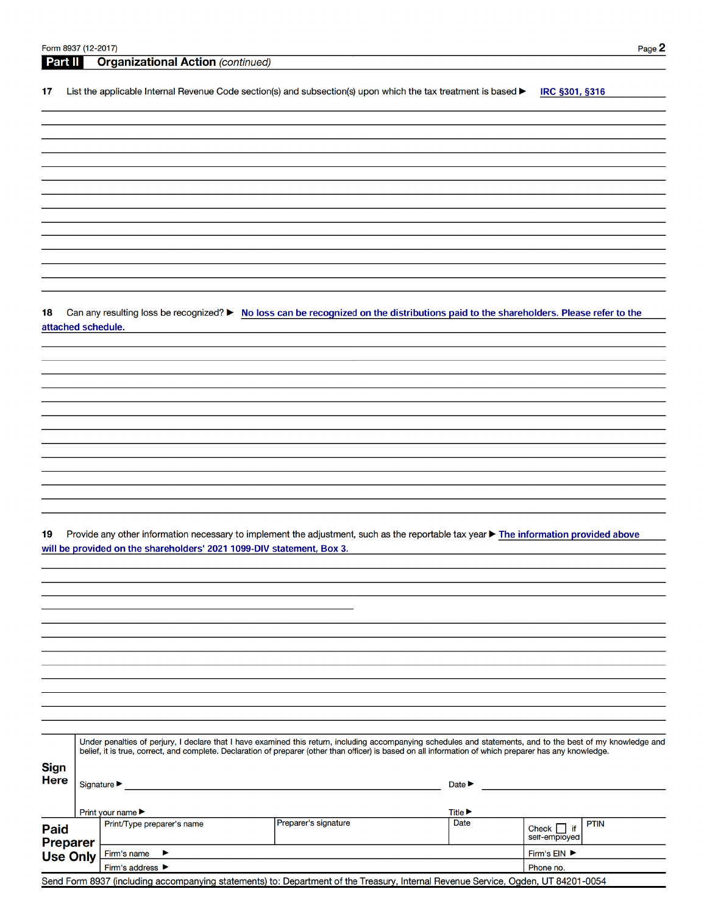|    | <b>Organizational Action (continued)</b><br><b>Part II</b>                                                                                                                                                     |
|----|----------------------------------------------------------------------------------------------------------------------------------------------------------------------------------------------------------------|
| 17 | List the applicable Internal Revenue Code section(s) and subsection(s) upon which the tax treatment is based $\blacktriangleright$<br><b>IRC §301, §316</b>                                                    |
|    |                                                                                                                                                                                                                |
|    |                                                                                                                                                                                                                |
|    |                                                                                                                                                                                                                |
|    |                                                                                                                                                                                                                |
|    |                                                                                                                                                                                                                |
|    |                                                                                                                                                                                                                |
|    |                                                                                                                                                                                                                |
|    |                                                                                                                                                                                                                |
|    |                                                                                                                                                                                                                |
|    |                                                                                                                                                                                                                |
|    |                                                                                                                                                                                                                |
|    |                                                                                                                                                                                                                |
|    |                                                                                                                                                                                                                |
|    |                                                                                                                                                                                                                |
|    | Can any resulting loss be recognized? ► No loss can be recognized on the distributions paid to the shareholders. Please refer to the                                                                           |
|    | attached schedule.                                                                                                                                                                                             |
|    |                                                                                                                                                                                                                |
|    |                                                                                                                                                                                                                |
|    |                                                                                                                                                                                                                |
|    |                                                                                                                                                                                                                |
|    |                                                                                                                                                                                                                |
|    |                                                                                                                                                                                                                |
|    |                                                                                                                                                                                                                |
|    |                                                                                                                                                                                                                |
|    |                                                                                                                                                                                                                |
|    |                                                                                                                                                                                                                |
|    |                                                                                                                                                                                                                |
|    |                                                                                                                                                                                                                |
|    |                                                                                                                                                                                                                |
|    | Provide any other information necessary to implement the adjustment, such as the reportable tax year ▶ The information provided above<br>will be provided on the shareholders' 2021 1099-DIV statement, Box 3. |
|    |                                                                                                                                                                                                                |
|    |                                                                                                                                                                                                                |
|    |                                                                                                                                                                                                                |
|    |                                                                                                                                                                                                                |
|    |                                                                                                                                                                                                                |
|    |                                                                                                                                                                                                                |
|    |                                                                                                                                                                                                                |
|    |                                                                                                                                                                                                                |
|    |                                                                                                                                                                                                                |
|    |                                                                                                                                                                                                                |
|    |                                                                                                                                                                                                                |
|    |                                                                                                                                                                                                                |
|    |                                                                                                                                                                                                                |

| <b>Sign</b><br><b>Here</b>                                                                                                        |  | Signature $\blacktriangleright$<br>Print your name $\blacktriangleright$ | Date $\blacktriangleright$<br>Title $\blacktriangleright$ |           |                                                 |  |  |  |
|-----------------------------------------------------------------------------------------------------------------------------------|--|--------------------------------------------------------------------------|-----------------------------------------------------------|-----------|-------------------------------------------------|--|--|--|
| <b>Paid</b><br><b>Preparer</b>                                                                                                    |  | Print/Type preparer's name                                               | Preparer's signature                                      | Date      | <b>PTIN</b><br>Check $\Box$ if<br>self-employed |  |  |  |
| <b>Use Only</b>                                                                                                                   |  | Firm's name                                                              |                                                           |           | Firm's EIN ▶                                    |  |  |  |
|                                                                                                                                   |  | Firm's address ▶                                                         |                                                           | Phone no. |                                                 |  |  |  |
| Send Form 8937 (including accompanying statements) to: Department of the Treasury, Internal Revenue Service, Ogden, UT 84201-0054 |  |                                                                          |                                                           |           |                                                 |  |  |  |